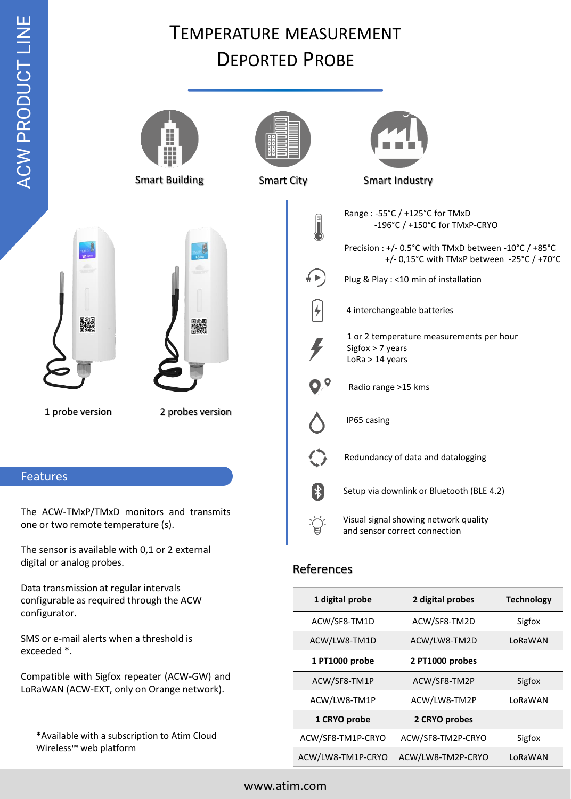Wireless™ web platform

## TEMPERATURE MEASUREMENT DEPORTED PROBE

| ACW PROD                                                                                                                                   |                                                                             | . .<br><b>Smart Building</b> | <b>Smart City</b> |                                                                | <b>Smart Industry</b>                                                                                                                                                                                                                                                                       |                   |  |
|--------------------------------------------------------------------------------------------------------------------------------------------|-----------------------------------------------------------------------------|------------------------------|-------------------|----------------------------------------------------------------|---------------------------------------------------------------------------------------------------------------------------------------------------------------------------------------------------------------------------------------------------------------------------------------------|-------------------|--|
|                                                                                                                                            |                                                                             |                              |                   |                                                                |                                                                                                                                                                                                                                                                                             |                   |  |
|                                                                                                                                            | MID <sup>10</sup><br>龖<br>1 probe version                                   | ▓<br>2 probes version        | ∲▶<br>ፆ           | Sigfox $> 7$ years<br>$LoRa > 14$ years<br>Radio range >15 kms | Range: -55°C / +125°C for TMxD<br>-196°C / +150°C for TMxP-CRYO<br>Precision : +/- 0.5°C with TMxD between -10°C / +85°C<br>+/- 0,15°C with TMxP between -25°C / +70°C<br>Plug & Play : < 10 min of installation<br>4 interchangeable batteries<br>1 or 2 temperature measurements per hour |                   |  |
|                                                                                                                                            |                                                                             |                              |                   | IP65 casing                                                    |                                                                                                                                                                                                                                                                                             |                   |  |
|                                                                                                                                            |                                                                             |                              |                   | Redundancy of data and datalogging                             |                                                                                                                                                                                                                                                                                             |                   |  |
| <b>Features</b>                                                                                                                            |                                                                             |                              |                   |                                                                |                                                                                                                                                                                                                                                                                             |                   |  |
| The ACW-TMxP/TMxD monitors and transmits<br>one or two remote temperature (s).                                                             |                                                                             |                              | 【∦<br>負           |                                                                | Setup via downlink or Bluetooth (BLE 4.2)<br>Visual signal showing network quality<br>and sensor correct connection                                                                                                                                                                         |                   |  |
|                                                                                                                                            | The sensor is available with 0,1 or 2 external<br>digital or analog probes. |                              |                   | References                                                     |                                                                                                                                                                                                                                                                                             |                   |  |
| Data transmission at regular intervals<br>configurable as required through the ACW<br>configurator.                                        |                                                                             |                              |                   | 1 digital probe                                                | 2 digital probes                                                                                                                                                                                                                                                                            | <b>Technology</b> |  |
|                                                                                                                                            |                                                                             |                              |                   | ACW/SF8-TM1D                                                   | ACW/SF8-TM2D                                                                                                                                                                                                                                                                                | Sigfox            |  |
| SMS or e-mail alerts when a threshold is<br>exceeded *.                                                                                    |                                                                             |                              |                   | ACW/LW8-TM1D                                                   | ACW/LW8-TM2D                                                                                                                                                                                                                                                                                | LoRaWAN           |  |
|                                                                                                                                            |                                                                             |                              |                   | 1 PT1000 probe                                                 | 2 PT1000 probes                                                                                                                                                                                                                                                                             |                   |  |
| Compatible with Sigfox repeater (ACW-GW) and<br>LoRaWAN (ACW-EXT, only on Orange network).<br>*Available with a subscription to Atim Cloud |                                                                             |                              |                   | ACW/SF8-TM1P                                                   | ACW/SF8-TM2P                                                                                                                                                                                                                                                                                | Sigfox            |  |
|                                                                                                                                            |                                                                             |                              |                   | ACW/LW8-TM1P                                                   | ACW/LW8-TM2P                                                                                                                                                                                                                                                                                | LoRaWAN           |  |
|                                                                                                                                            |                                                                             |                              |                   | 1 CRYO probe                                                   | 2 CRYO probes                                                                                                                                                                                                                                                                               |                   |  |
|                                                                                                                                            |                                                                             |                              |                   | ACW/SF8-TM1P-CRYO                                              | ACW/SF8-TM2P-CRYO                                                                                                                                                                                                                                                                           | Sigfox            |  |

ACW/LW8-TM1P-CRYO ACW/LW8-TM2P-CRYO LoRaWAN

T